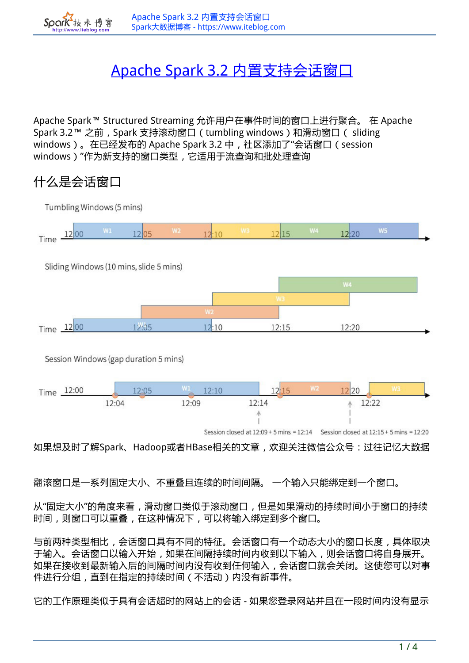# Apache Spark 3.2 内置支持会话窗

Apache Spark™ Structured Streaming 允许用户在事件时间的窗口上进行聚合。 在 Apache Spark 3.2™ 之前, Spark 支持滚动窗口 (tumbling windows)和滑动窗口 ( sliding windows)。在已经发布的 Apache Spark 3.2 中,社区添加了"会话窗口(session windows)"作为新支持的窗口类型,它适用于流查询和批处理查询

# **什么是会话窗口**

およ



翻滚窗口是一系列固定大小、不重叠且连续的时间间隔。 一个输入只能绑定到一个窗口。

从"固定大小"的角度来看,滑动窗口类似于滚动窗口,但是如果滑动的持续时间小于窗口的持续 时间,则窗口可以重叠,在这种情况下,可以将输入绑定到多个窗口。

与前两种类型相比,会话窗口具有不同的特征。会话窗口有一个动态大小的窗口长度,具体取决 于输入。会话窗口以输入开始,如果在间隔持续时间内收到以下输入,则会话窗口将自身展开。 如果在接收到最新输入后的间隔时间内没有收到任何输入,会话窗口就会关闭。这使您可以对事 件进行分组,直到在指定的持续时间(不活动)内没有新事件。

它的工作原理类似于具有会话超时的网站上的会话 - 如果您登录网站并且在一段时间内没有显示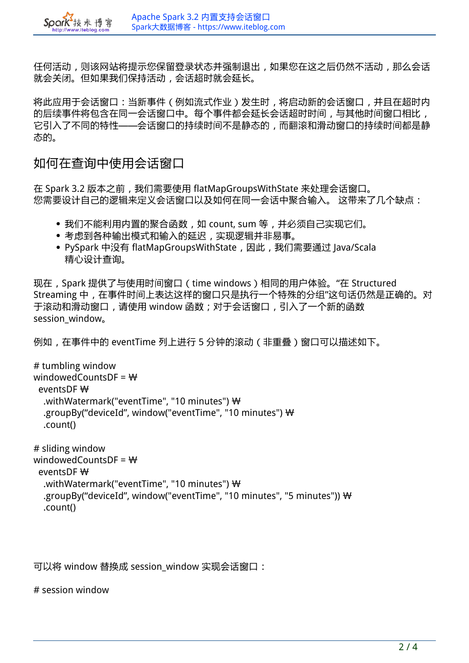任何活动,则该网站将提示您保留登录状态并强制退出,如果您在这之后仍然不活动,那么会话 就会关闭。但如果我们保持活动,会话超时就会延长。

将此应用于会话窗口:当新事件(例如流式作业)发生时,将启动新的会话窗口,并且在超时内 的后续事件将包含在同一会话窗口中。每个事件都会延长会话超时时间,与其他时间窗口相比, 它引入了不同的特性——会话窗口的持续时间不是静态的,而翻滚和滑动窗口的持续时间都是静 态的。

**如何在查询中使用会话窗口**

K 技术 +

在 Spark 3.2 版本之前,我们需要使用 flatMapGroupsWithState 来处理会话窗口。 您需要设计自己的逻辑来定义会话窗口以及如何在同一会话中聚合输入。 这带来了几个缺点:

- 我们不能利用内置的聚合函数,如 count, sum 等,并必须自己实现它们。
- 考虑到各种输出模式和输入的延迟,实现逻辑并非易事。
- PySpark 中没有 flatMapGroupsWithState, 因此, 我们需要通过 Java/Scala 精心设计查询。

现在,Spark 提供了与使用时间窗口(time windows)相同的用户体验。"在 Structured Streaming 中,在事件时间上表达这样的窗口只是执行一个特殊的分组"这句话仍然是正确的。对 于滚动和滑动窗口,请使用 window 函数;对于会话窗口,引入了一个新的函数 session\_window。

例如,在事件中的 eventTime 列上进行 5 分钟的滚动 (非重叠)窗口可以描述如下。

```
# tumbling window
windowedCountsDF = \mathsf{W}eventsDF\mathbf W.withWatermark("eventTime", "10 minutes") \mathbf W .groupBy("deviceId", window("eventTime", "10 minutes") \
   .count()
# sliding window
windowedCountsDF = \mathbf{\mathsf{W}}eventsDF\mathbf W
```
.withWatermark("eventTime", "10 minutes")  $\mathbf{\mathsf{W}}$ .groupBy("deviceId", window("eventTime", "10 minutes", "5 minutes"))  $\mathsf{W}$ .count()

可以将 window 替换成 session window 实现会话窗口:

# session window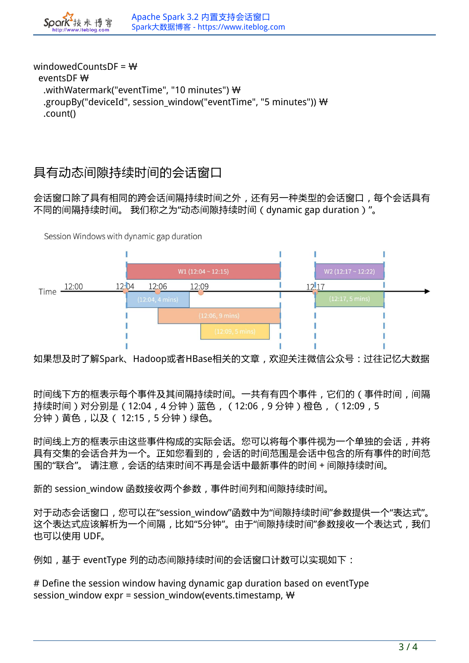windowedCountsDF =  $\mathbf{W}$  $e$ ventsDF $\mathcal W$ .withWatermark("eventTime", "10 minutes")  $\mathbf{\mathsf{W}}$ .groupBy("deviceId", session\_window("eventTime", "5 minutes")) \\ .count()

## **具有动态间隙持续时间的会话窗口**

おお ttn://www.itebloc

会话窗口除了具有相同的跨会话间隔持续时间之外,还有另一种类型的会话窗口,每个会话具有 不同的间隔持续时间。 我们称之为"动态间隙持续时间(dynamic gap duration)"。

Session Windows with dynamic gap duration



如果想及时了解Spark、Hadoop或者HBase相关的文章,欢迎关注微信公众号:**过往记忆大数据**

时间线下方的框表示每个事件及其间隔持续时间。一共有有四个事件,它们的(事件时间,间隔 持续时间)对分别是(12:04,4 分钟)蓝色,(12:06,9 分钟)橙色,(12:09,5 分钟)黄色,以及( 12:15,5 分钟)绿色。

时间线上方的框表示由这些事件构成的实际会话。您可以将每个事件视为一个单独的会话,并将 具有交集的会话合并为一个。正如您看到的,会话的时间范围是会话中包含的所有事件的时间范 围的"联合"。 请注意,会话的结束时间不再是会话中最新事件的时间 + 间隙持续时间。

新的 session\_window 函数接收两个参数, 事件时间列和间隙持续时间。

对于动态会话窗口,您可以在"session\_window"函数中为"间隙持续时间"参数提供一个"表达式"。 这个表达式应该解析为一个间隔,比如"5分钟"。由于"间隙持续时间"参数接收一个表达式,我们 也可以使用 UDF。

例如,基于 eventType 列的动态间隙持续时间的会话窗口计数可以实现如下:

# Define the session window having dynamic gap duration based on eventType session\_window expr = session\_window(events.timestamp,  $\mathsf{W}$